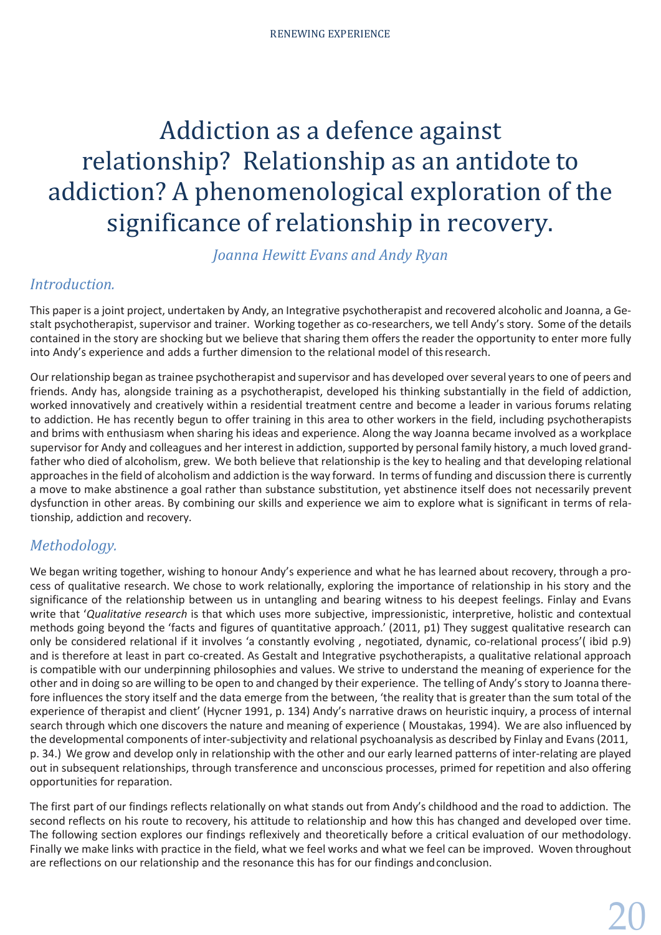*Joanna Hewitt Evans and Andy Ryan*

# *Introduction.*

This paper is a joint project, undertaken by Andy, an Integrative psychotherapist and recovered alcoholic and Joanna, a Gestalt psychotherapist, supervisor and trainer. Working together as co-researchers, we tell Andy's story. Some of the details contained in the story are shocking but we believe that sharing them offers the reader the opportunity to enter more fully into Andy's experience and adds a further dimension to the relational model of thisresearch.

Ourrelationship began astrainee psychotherapist and supervisor and has developed overseveral yearsto one of peers and friends. Andy has, alongside training as a psychotherapist, developed his thinking substantially in the field of addiction, worked innovatively and creatively within a residential treatment centre and become a leader in various forums relating to addiction. He has recently begun to offer training in this area to other workers in the field, including psychotherapists and brims with enthusiasm when sharing his ideas and experience. Along the way Joanna became involved as a workplace supervisor for Andy and colleagues and her interest in addiction, supported by personal family history, a much loved grandfather who died of alcoholism, grew. We both believe that relationship is the key to healing and that developing relational approaches in the field of alcoholism and addiction is the way forward. In terms of funding and discussion there is currently a move to make abstinence a goal rather than substance substitution, yet abstinence itself does not necessarily prevent dysfunction in other areas. By combining our skills and experience we aim to explore what is significant in terms of relationship, addiction and recovery.

# *Methodology.*

We began writing together, wishing to honour Andy's experience and what he has learned about recovery, through a process of qualitative research. We chose to work relationally, exploring the importance of relationship in his story and the significance of the relationship between us in untangling and bearing witness to his deepest feelings. Finlay and Evans write that '*Qualitative research* is that which uses more subjective, impressionistic, interpretive, holistic and contextual methods going beyond the 'facts and figures of quantitative approach.' (2011, p1) They suggest qualitative research can only be considered relational if it involves 'a constantly evolving , negotiated, dynamic, co-relational process'( ibid p.9) and is therefore at least in part co-created. As Gestalt and Integrative psychotherapists, a qualitative relational approach is compatible with our underpinning philosophies and values. We strive to understand the meaning of experience for the other and in doing so are willing to be open to and changed by their experience. The telling of Andy'sstory to Joanna therefore influences the story itself and the data emerge from the between, 'the reality that is greater than the sum total of the experience of therapist and client' (Hycner 1991, p. 134) Andy's narrative draws on heuristic inquiry, a process of internal search through which one discovers the nature and meaning of experience ( Moustakas, 1994). We are also influenced by the developmental components of inter-subjectivity and relational psychoanalysis as described by Finlay and Evans (2011, p. 34.) We grow and develop only in relationship with the other and our early learned patterns of inter-relating are played out in subsequent relationships, through transference and unconscious processes, primed for repetition and also offering opportunities for reparation.

The first part of our findings reflects relationally on what stands out from Andy's childhood and the road to addiction. The second reflects on his route to recovery, his attitude to relationship and how this has changed and developed over time. The following section explores our findings reflexively and theoretically before a critical evaluation of our methodology. Finally we make links with practice in the field, what we feel works and what we feel can be improved. Woven throughout are reflections on our relationship and the resonance this has for our findings andconclusion.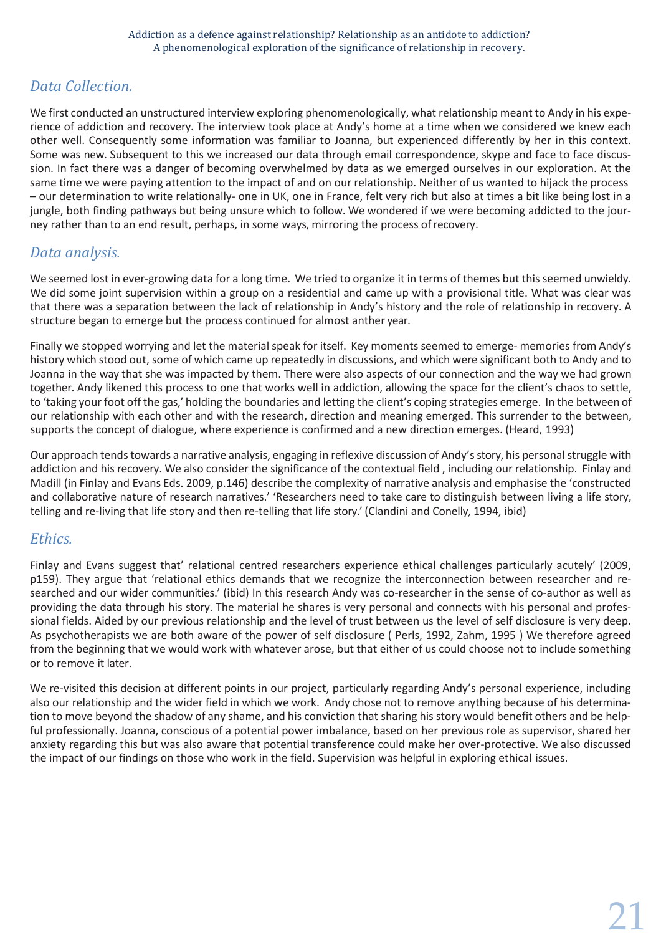# *Data Collection.*

We first conducted an unstructured interview exploring phenomenologically, what relationship meant to Andy in his experience of addiction and recovery. The interview took place at Andy's home at a time when we considered we knew each other well. Consequently some information was familiar to Joanna, but experienced differently by her in this context. Some was new. Subsequent to this we increased our data through email correspondence, skype and face to face discussion. In fact there was a danger of becoming overwhelmed by data as we emerged ourselves in our exploration. At the same time we were paying attention to the impact of and on our relationship. Neither of us wanted to hijack the process – our determination to write relationally- one in UK, one in France, felt very rich but also at times a bit like being lost in a jungle, both finding pathways but being unsure which to follow. We wondered if we were becoming addicted to the journey rather than to an end result, perhaps, in some ways, mirroring the process ofrecovery.

# *Data analysis.*

We seemed lost in ever-growing data for a long time. We tried to organize it in terms of themes but this seemed unwieldy. We did some joint supervision within a group on a residential and came up with a provisional title. What was clear was that there was a separation between the lack of relationship in Andy's history and the role of relationship in recovery. A structure began to emerge but the process continued for almost anther year.

Finally we stopped worrying and let the material speak for itself. Key moments seemed to emerge- memories from Andy's history which stood out, some of which came up repeatedly in discussions, and which were significant both to Andy and to Joanna in the way that she was impacted by them. There were also aspects of our connection and the way we had grown together. Andy likened this process to one that works well in addiction, allowing the space for the client's chaos to settle, to 'taking your foot off the gas,' holding the boundaries and letting the client's coping strategies emerge. In the between of our relationship with each other and with the research, direction and meaning emerged. This surrender to the between, supports the concept of dialogue, where experience is confirmed and a new direction emerges. (Heard, 1993)

Our approach tends towards a narrative analysis, engaging in reflexive discussion of Andy's story, his personal struggle with addiction and his recovery. We also consider the significance of the contextual field , including our relationship. Finlay and Madill (in Finlay and Evans Eds. 2009, p.146) describe the complexity of narrative analysis and emphasise the 'constructed and collaborative nature of research narratives.' 'Researchers need to take care to distinguish between living a life story, telling and re-living that life story and then re-telling that life story.' (Clandini and Conelly, 1994, ibid)

# *Ethics.*

Finlay and Evans suggest that' relational centred researchers experience ethical challenges particularly acutely' (2009, p159). They argue that 'relational ethics demands that we recognize the interconnection between researcher and researched and our wider communities.' (ibid) In this research Andy was co-researcher in the sense of co-author as well as providing the data through his story. The material he shares is very personal and connects with his personal and professional fields. Aided by our previous relationship and the level of trust between us the level of self disclosure is very deep. As psychotherapists we are both aware of the power of self disclosure ( Perls, 1992, Zahm, 1995 ) We therefore agreed from the beginning that we would work with whatever arose, but that either of us could choose not to include something or to remove it later.

We re-visited this decision at different points in our project, particularly regarding Andy's personal experience, including also our relationship and the wider field in which we work. Andy chose not to remove anything because of his determination to move beyond the shadow of any shame, and his conviction that sharing his story would benefit others and be helpful professionally. Joanna, conscious of a potential power imbalance, based on her previous role as supervisor, shared her anxiety regarding this but was also aware that potential transference could make her over-protective. We also discussed the impact of our findings on those who work in the field. Supervision was helpful in exploring ethical issues.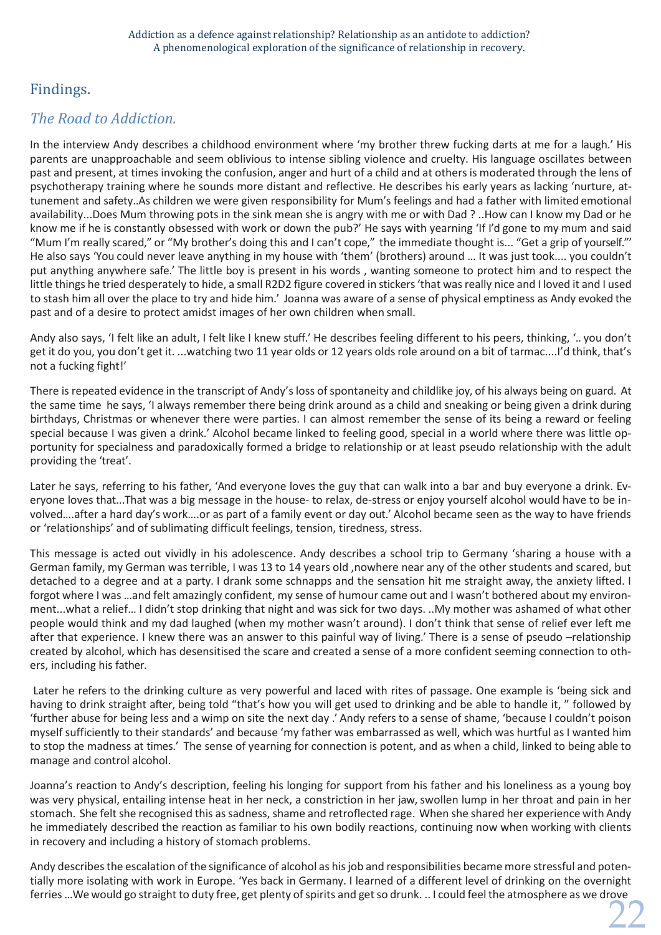# Findings.

# *The Road to Addiction.*

In the interview Andy describes a childhood environment where 'my brother threw fucking darts at me for a laugh.' His parents are unapproachable and seem oblivious to intense sibling violence and cruelty. His language oscillates between past and present, at times invoking the confusion, anger and hurt of a child and at others is moderated through the lens of psychotherapy training where he sounds more distant and reflective. He describes his early years as lacking 'nurture, attunement and safety..As children we were given responsibility for Mum's feelings and had a father with limited emotional availability...Does Mum throwing pots in the sink mean she is angry with me or with Dad ? ..How can I know my Dad or he know me if he is constantly obsessed with work or down the pub?' He says with yearning 'If I'd gone to my mum and said "Mum I'm really scared," or "My brother's doing this and I can't cope," the immediate thought is... "Get a grip of yourself."' He also says 'You could never leave anything in my house with 'them' (brothers) around … It was just took.... you couldn't put anything anywhere safe.' The little boy is present in his words , wanting someone to protect him and to respect the little things he tried desperately to hide, a small R2D2 figure covered in stickers 'that was really nice and I loved it and I used to stash him all over the place to try and hide him.' Joanna was aware of a sense of physical emptiness as Andy evoked the past and of a desire to protect amidst images of her own children when small.

Andy also says, 'I felt like an adult, I felt like I knew stuff.' He describes feeling different to his peers, thinking, '.. you don't get it do you, you don't get it. ...watching two 11 year olds or 12 years olds role around on a bit of tarmac....I'd think, that's not a fucking fight!'

There is repeated evidence in the transcript of Andy's loss of spontaneity and childlike joy, of his always being on guard. At the same time he says, 'I always remember there being drink around as a child and sneaking or being given a drink during birthdays, Christmas or whenever there were parties. I can almost remember the sense of its being a reward or feeling special because I was given a drink.' Alcohol became linked to feeling good, special in a world where there was little opportunity for specialness and paradoxically formed a bridge to relationship or at least pseudo relationship with the adult providing the 'treat'.

Later he says, referring to his father, 'And everyone loves the guy that can walk into a bar and buy everyone a drink. Everyone loves that...That was a big message in the house- to relax, de-stress or enjoy yourself alcohol would have to be involved….after a hard day's work….or as part of a family event or day out.' Alcohol became seen as the way to have friends or 'relationships' and of sublimating difficult feelings, tension, tiredness, stress.

This message is acted out vividly in his adolescence. Andy describes a school trip to Germany 'sharing a house with a German family, my German was terrible, I was 13 to 14 years old ,nowhere near any of the other students and scared, but detached to a degree and at a party. I drank some schnapps and the sensation hit me straight away, the anxiety lifted. I forgot where I was …and felt amazingly confident, my sense of humour came out and I wasn't bothered about my environment...what a relief… I didn't stop drinking that night and was sick for two days. ..My mother was ashamed of what other people would think and my dad laughed (when my mother wasn't around). I don't think that sense of relief ever left me after that experience. I knew there was an answer to this painful way of living.' There is a sense of pseudo –relationship created by alcohol, which has desensitised the scare and created a sense of a more confident seeming connection to others, including his father.

Later he refers to the drinking culture as very powerful and laced with rites of passage. One example is 'being sick and having to drink straight after, being told "that's how you will get used to drinking and be able to handle it, " followed by 'further abuse for being less and a wimp on site the next day .' Andy refers to a sense of shame, 'because I couldn't poison myself sufficiently to their standards' and because 'my father was embarrassed as well, which was hurtful as I wanted him to stop the madness at times.' The sense of yearning for connection is potent, and as when a child, linked to being able to manage and control alcohol.

Joanna's reaction to Andy's description, feeling his longing for support from his father and his loneliness as a young boy was very physical, entailing intense heat in her neck, a constriction in her jaw, swollen lump in her throat and pain in her stomach. She felt she recognised this as sadness, shame and retroflected rage. When she shared her experience with Andy he immediately described the reaction as familiar to his own bodily reactions, continuing now when working with clients in recovery and including a history of stomach problems.

22 Andy describes the escalation of the significance of alcohol as his job and responsibilities became more stressful and potentially more isolating with work in Europe. 'Yes back in Germany. I learned of a different level of drinking on the overnight ferries ...We would go straight to duty free, get plenty of spirits and get so drunk. .. I could feel the atmosphere as we drove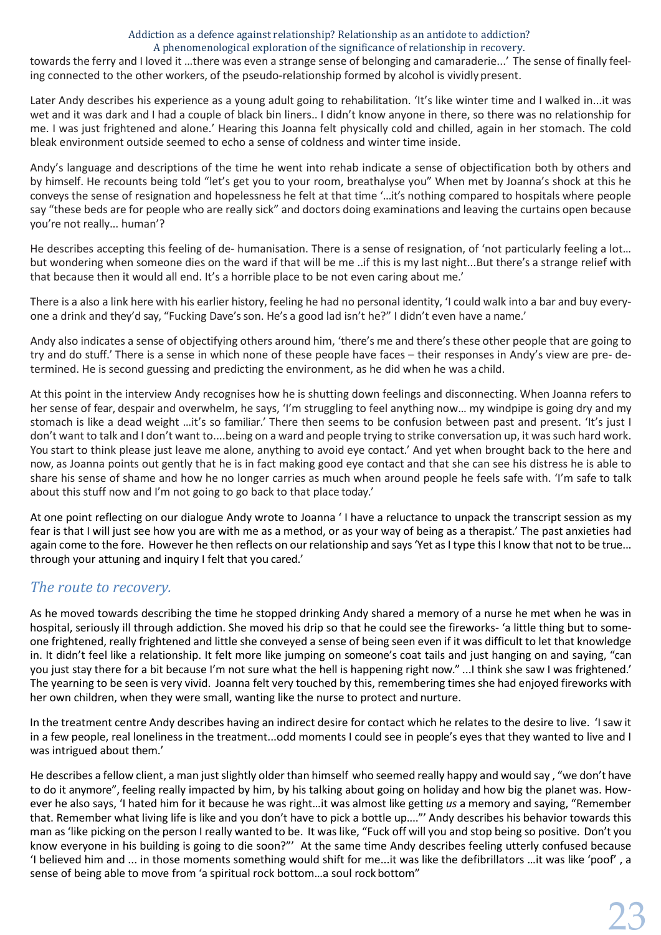towards the ferry and I loved it …there was even a strange sense of belonging and camaraderie...' The sense of finally feeling connected to the other workers, of the pseudo-relationship formed by alcohol is vividly present.

Later Andy describes his experience as a young adult going to rehabilitation. 'It's like winter time and I walked in...it was wet and it was dark and I had a couple of black bin liners.. I didn't know anyone in there, so there was no relationship for me. I was just frightened and alone.' Hearing this Joanna felt physically cold and chilled, again in her stomach. The cold bleak environment outside seemed to echo a sense of coldness and winter time inside.

Andy's language and descriptions of the time he went into rehab indicate a sense of objectification both by others and by himself. He recounts being told "let's get you to your room, breathalyse you" When met by Joanna's shock at this he conveys the sense of resignation and hopelessness he felt at that time '...it's nothing compared to hospitals where people say "these beds are for people who are really sick" and doctors doing examinations and leaving the curtains open because you're not really... human'?

He describes accepting this feeling of de- humanisation. There is a sense of resignation, of 'not particularly feeling a lot… but wondering when someone dies on the ward if that will be me ..if this is my last night...But there's a strange relief with that because then it would all end. It's a horrible place to be not even caring about me.'

There is a also a link here with his earlier history, feeling he had no personal identity, 'I could walk into a bar and buy everyone a drink and they'd say, "Fucking Dave's son. He's a good lad isn't he?" I didn't even have a name.'

Andy also indicates a sense of objectifying others around him, 'there's me and there's these other people that are going to try and do stuff.' There is a sense in which none of these people have faces – their responses in Andy's view are pre- determined. He is second guessing and predicting the environment, as he did when he was a child.

At this point in the interview Andy recognises how he is shutting down feelings and disconnecting. When Joanna refers to her sense of fear, despair and overwhelm, he says, 'I'm struggling to feel anything now... my windpipe is going dry and my stomach is like a dead weight …it's so familiar.' There then seems to be confusion between past and present. 'It's just I don't want to talk and I don't want to....being on a ward and people trying to strike conversation up, it was such hard work. You start to think please just leave me alone, anything to avoid eye contact.' And yet when brought back to the here and now, as Joanna points out gently that he is in fact making good eye contact and that she can see his distress he is able to share his sense of shame and how he no longer carries as much when around people he feels safe with. 'I'm safe to talk about this stuff now and I'm not going to go back to that place today.'

At one point reflecting on our dialogue Andy wrote to Joanna ' I have a reluctance to unpack the transcript session as my fear is that I will just see how you are with me as a method, or as your way of being as a therapist.' The past anxieties had again come to the fore. However he then reflects on our relationship and says 'Yet as I type this I know that not to be true... through your attuning and inquiry I felt that you cared.'

## *The route to recovery.*

As he moved towards describing the time he stopped drinking Andy shared a memory of a nurse he met when he was in hospital, seriously ill through addiction. She moved his drip so that he could see the fireworks- 'a little thing but to someone frightened, really frightened and little she conveyed a sense of being seen even if it was difficult to let that knowledge in. It didn't feel like a relationship. It felt more like jumping on someone's coat tails and just hanging on and saying, "can you just stay there for a bit because I'm not sure what the hell is happening right now." ...I think she saw I was frightened.' The yearning to be seen is very vivid. Joanna felt very touched by this, remembering times she had enjoyed fireworks with her own children, when they were small, wanting like the nurse to protect and nurture.

In the treatment centre Andy describes having an indirect desire for contact which he relates to the desire to live. 'Isaw it in a few people, real loneliness in the treatment...odd moments I could see in people's eyes that they wanted to live and I was intrigued about them.'

He describes a fellow client, a man just slightly older than himself who seemed really happy and would say, "we don't have to do it anymore", feeling really impacted by him, by his talking about going on holiday and how big the planet was. However he also says, 'I hated him for it because he was right…it was almost like getting *us* a memory and saying, "Remember that. Remember what living life is like and you don't have to pick a bottle up...."' Andy describes his behavior towards this man as 'like picking on the person I really wanted to be. It was like, "Fuck off will you and stop being so positive. Don't you know everyone in his building is going to die soon?"' At the same time Andy describes feeling utterly confused because 'I believed him and ... in those moments something would shift for me...it was like the defibrillators …it was like 'poof' , a sense of being able to move from 'a spiritual rock bottom…a soul rock bottom"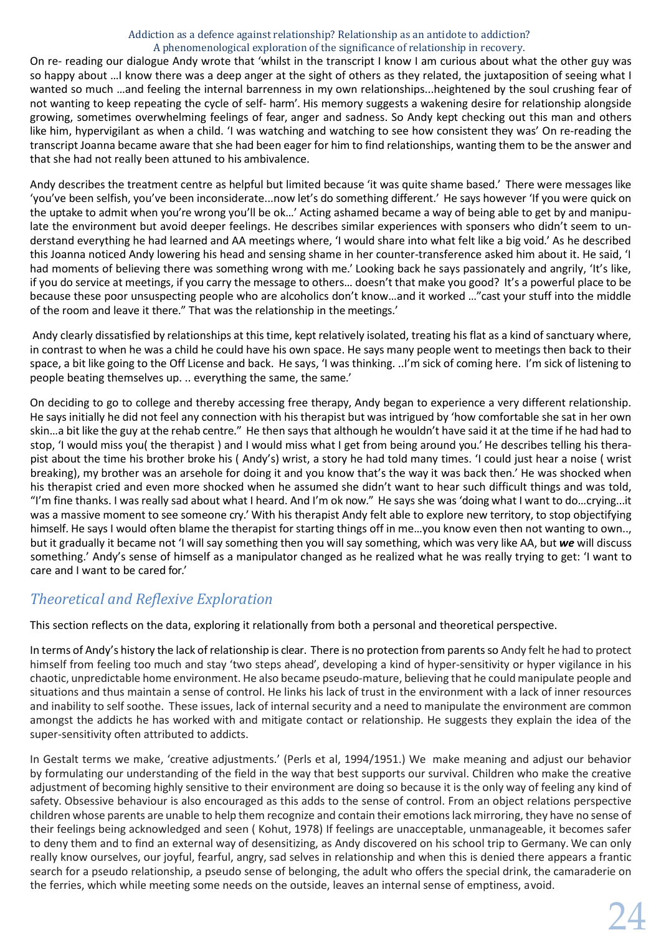On re- reading our dialogue Andy wrote that 'whilst in the transcript I know I am curious about what the other guy was so happy about …I know there was a deep anger at the sight of others as they related, the juxtaposition of seeing what I wanted so much …and feeling the internal barrenness in my own relationships...heightened by the soul crushing fear of not wanting to keep repeating the cycle of self- harm'. His memory suggests a wakening desire for relationship alongside growing, sometimes overwhelming feelings of fear, anger and sadness. So Andy kept checking out this man and others like him, hypervigilant as when a child. 'I was watching and watching to see how consistent they was' On re-reading the transcript Joanna became aware that she had been eager for him to find relationships, wanting them to be the answer and that she had not really been attuned to his ambivalence.

Andy describes the treatment centre as helpful but limited because 'it was quite shame based.' There were messages like 'you've been selfish, you've been inconsiderate...now let's do something different.' He says however 'If you were quick on the uptake to admit when you're wrong you'll be ok…' Acting ashamed became a way of being able to get by and manipulate the environment but avoid deeper feelings. He describes similar experiences with sponsers who didn't seem to understand everything he had learned and AA meetings where, 'I would share into what felt like a big void.' As he described this Joanna noticed Andy lowering his head and sensing shame in her counter-transference asked him about it. He said, 'I had moments of believing there was something wrong with me.' Looking back he says passionately and angrily, 'It's like, if you do service at meetings, if you carry the message to others… doesn't that make you good? It's a powerful place to be because these poor unsuspecting people who are alcoholics don't know…and it worked …"cast your stuff into the middle of the room and leave it there." That was the relationship in the meetings.'

Andy clearly dissatisfied by relationships at this time, kept relatively isolated, treating his flat as a kind ofsanctuary where, in contrast to when he was a child he could have his own space. He says many people went to meetings then back to their space, a bit like going to the Off License and back. He says, 'I was thinking. ..I'm sick of coming here. I'm sick of listening to people beating themselves up. .. everything the same, the same.'

On deciding to go to college and thereby accessing free therapy, Andy began to experience a very different relationship. He says initially he did not feel any connection with his therapist but was intrigued by 'how comfortable she sat in her own skin…a bit like the guy at the rehab centre." He then says that although he wouldn't have said it at the time if he had had to stop, 'I would miss you( the therapist ) and I would miss what I get from being around you.' He describes telling his therapist about the time his brother broke his ( Andy's) wrist, a story he had told many times. 'I could just hear a noise ( wrist breaking), my brother was an arsehole for doing it and you know that's the way it was back then.' He was shocked when his therapist cried and even more shocked when he assumed she didn't want to hear such difficult things and was told, "I'm fine thanks. I was really sad about what I heard. And I'm ok now." He says she was 'doing what I want to do…crying...it was a massive moment to see someone cry.' With his therapist Andy felt able to explore new territory, to stop objectifying himself. He says I would often blame the therapist for starting things off in me…you know even then not wanting to own.., but it gradually it became not 'I will say something then you will say something, which was very like AA, but *we* will discuss something.' Andy's sense of himself as a manipulator changed as he realized what he was really trying to get: 'I want to care and I want to be cared for.'

# *Theoretical and Reflexive Exploration*

This section reflects on the data, exploring it relationally from both a personal and theoretical perspective.

In terms of Andy's history the lack of relationship is clear. There is no protection from parentsso Andy felt he had to protect himself from feeling too much and stay 'two steps ahead', developing a kind of hyper-sensitivity or hyper vigilance in his chaotic, unpredictable home environment. He also became pseudo-mature, believing that he could manipulate people and situations and thus maintain a sense of control. He links his lack of trust in the environment with a lack of inner resources and inability to self soothe. These issues, lack of internal security and a need to manipulate the environment are common amongst the addicts he has worked with and mitigate contact or relationship. He suggests they explain the idea of the super-sensitivity often attributed to addicts.

In Gestalt terms we make, 'creative adjustments.' (Perls et al, 1994/1951.) We make meaning and adjust our behavior by formulating our understanding of the field in the way that best supports our survival. Children who make the creative adjustment of becoming highly sensitive to their environment are doing so because it is the only way of feeling any kind of safety. Obsessive behaviour is also encouraged as this adds to the sense of control. From an object relations perspective children whose parents are unable to help them recognize and contain their emotionslack mirroring, they have no sense of their feelings being acknowledged and seen ( Kohut, 1978) If feelings are unacceptable, unmanageable, it becomes safer to deny them and to find an external way of desensitizing, as Andy discovered on his school trip to Germany. We can only really know ourselves, our joyful, fearful, angry, sad selves in relationship and when this is denied there appears a frantic search for a pseudo relationship, a pseudo sense of belonging, the adult who offers the special drink, the camaraderie on the ferries, which while meeting some needs on the outside, leaves an internal sense of emptiness, avoid.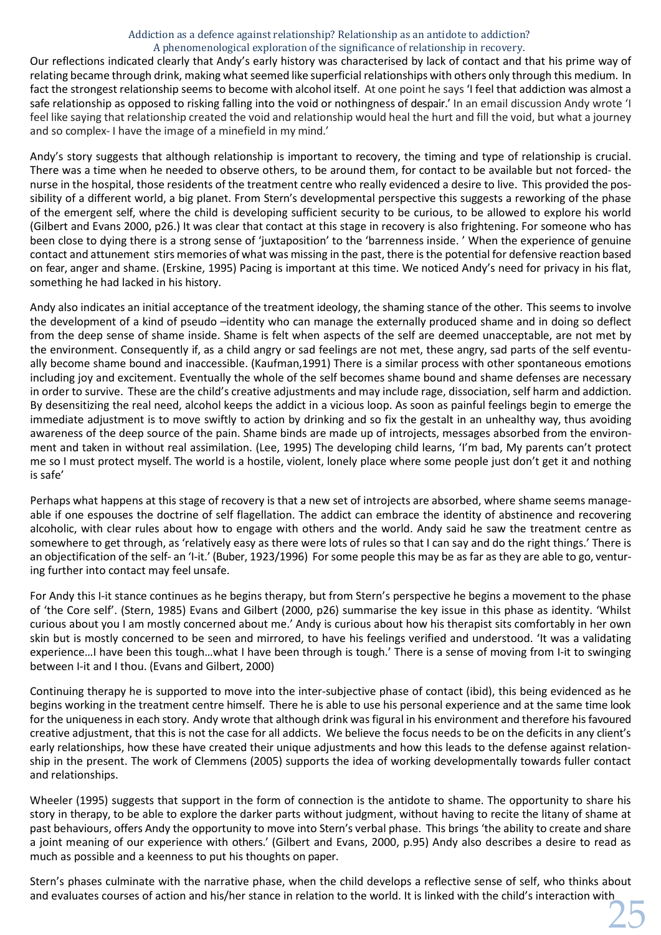Our reflections indicated clearly that Andy's early history was characterised by lack of contact and that his prime way of relating became through drink, making what seemed like superficial relationships with others only through this medium. In fact the strongest relationship seems to become with alcohol itself. At one point he says 'I feel that addiction was almost a safe relationship as opposed to risking falling into the void or nothingness of despair.' In an email discussion Andy wrote 'I feel like saying that relationship created the void and relationship would heal the hurt and fill the void, but what a journey and so complex- I have the image of a minefield in my mind.'

Andy's story suggests that although relationship is important to recovery, the timing and type of relationship is crucial. There was a time when he needed to observe others, to be around them, for contact to be available but not forced- the nurse in the hospital, those residents of the treatment centre who really evidenced a desire to live. This provided the possibility of a different world, a big planet. From Stern's developmental perspective this suggests a reworking of the phase of the emergent self, where the child is developing sufficient security to be curious, to be allowed to explore his world (Gilbert and Evans 2000, p26.) It was clear that contact at this stage in recovery is also frightening. For someone who has been close to dying there is a strong sense of 'juxtaposition' to the 'barrenness inside. ' When the experience of genuine contact and attunement stirs memories of what was missing in the past, there isthe potential for defensive reaction based on fear, anger and shame. (Erskine, 1995) Pacing is important at this time. We noticed Andy's need for privacy in his flat, something he had lacked in his history.

Andy also indicates an initial acceptance of the treatment ideology, the shaming stance of the other. This seems to involve the development of a kind of pseudo –identity who can manage the externally produced shame and in doing so deflect from the deep sense of shame inside. Shame is felt when aspects of the self are deemed unacceptable, are not met by the environment. Consequently if, as a child angry or sad feelings are not met, these angry, sad parts of the self eventually become shame bound and inaccessible. (Kaufman,1991) There is a similar process with other spontaneous emotions including joy and excitement. Eventually the whole of the self becomes shame bound and shame defenses are necessary in order to survive. These are the child's creative adjustments and may include rage, dissociation, self harm and addiction. By desensitizing the real need, alcohol keeps the addict in a vicious loop. As soon as painful feelings begin to emerge the immediate adjustment is to move swiftly to action by drinking and so fix the gestalt in an unhealthy way, thus avoiding awareness of the deep source of the pain. Shame binds are made up of introjects, messages absorbed from the environment and taken in without real assimilation. (Lee, 1995) The developing child learns, 'I'm bad, My parents can't protect me so I must protect myself. The world is a hostile, violent, lonely place where some people just don't get it and nothing is safe'

Perhaps what happens at this stage of recovery is that a new set of introjects are absorbed, where shame seems manageable if one espouses the doctrine of self flagellation. The addict can embrace the identity of abstinence and recovering alcoholic, with clear rules about how to engage with others and the world. Andy said he saw the treatment centre as somewhere to get through, as 'relatively easy as there were lots of rules so that I can say and do the right things.' There is an objectification of the self- an 'I-it.' (Buber, 1923/1996) For some people this may be as far as they are able to go, venturing further into contact may feel unsafe.

For Andy this I-it stance continues as he begins therapy, but from Stern's perspective he begins a movement to the phase of 'the Core self'. (Stern, 1985) Evans and Gilbert (2000, p26) summarise the key issue in this phase as identity. 'Whilst curious about you I am mostly concerned about me.' Andy is curious about how his therapist sits comfortably in her own skin but is mostly concerned to be seen and mirrored, to have his feelings verified and understood. 'It was a validating experience…I have been this tough…what I have been through is tough.' There is a sense of moving from I-it to swinging between I-it and I thou. (Evans and Gilbert, 2000)

Continuing therapy he is supported to move into the inter-subjective phase of contact (ibid), this being evidenced as he begins working in the treatment centre himself. There he is able to use his personal experience and at the same time look for the uniqueness in each story. Andy wrote that although drink was figural in his environment and therefore his favoured creative adjustment, that this is not the case for all addicts. We believe the focus needs to be on the deficits in any client's early relationships, how these have created their unique adjustments and how this leads to the defense against relationship in the present. The work of Clemmens (2005) supports the idea of working developmentally towards fuller contact and relationships.

Wheeler (1995) suggests that support in the form of connection is the antidote to shame. The opportunity to share his story in therapy, to be able to explore the darker parts without judgment, without having to recite the litany of shame at past behaviours, offers Andy the opportunity to move into Stern's verbal phase. This brings 'the ability to create and share a joint meaning of our experience with others.' (Gilbert and Evans, 2000, p.95) Andy also describes a desire to read as much as possible and a keenness to put his thoughts on paper.

25 Stern's phases culminate with the narrative phase, when the child develops a reflective sense of self, who thinks about and evaluates courses of action and his/her stance in relation to the world. It is linked with the child's interaction with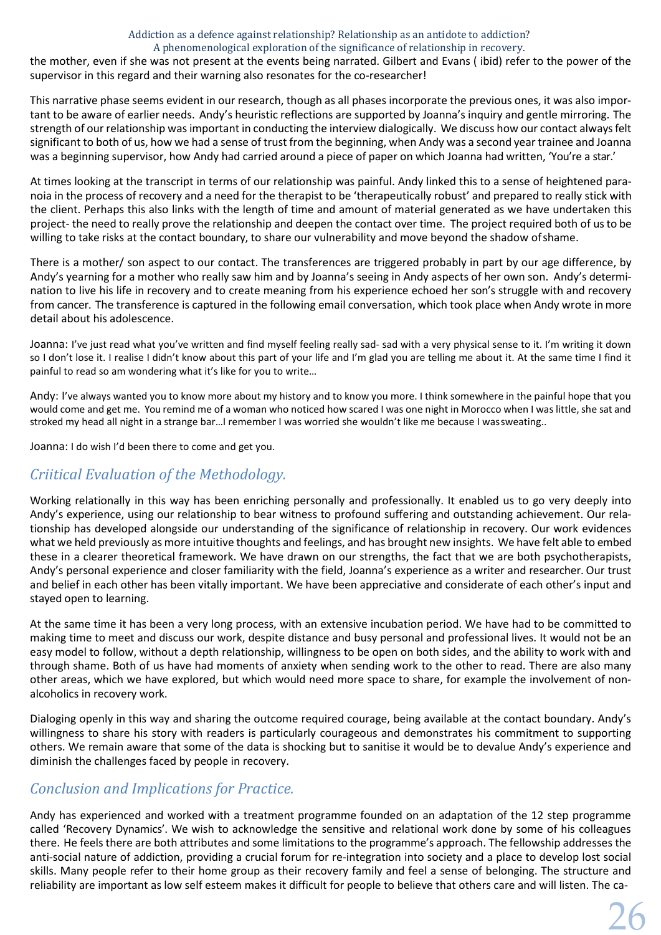the mother, even if she was not present at the events being narrated. Gilbert and Evans ( ibid) refer to the power of the supervisor in this regard and their warning also resonates for the co-researcher!

This narrative phase seems evident in our research, though as all phases incorporate the previous ones, it was also important to be aware of earlier needs. Andy's heuristic reflections are supported by Joanna's inquiry and gentle mirroring. The strength of our relationship was important in conducting the interview dialogically. We discuss how our contact always felt significant to both of us, how we had a sense of trust from the beginning, when Andy was a second year trainee and Joanna was a beginning supervisor, how Andy had carried around a piece of paper on which Joanna had written, 'You're a star.'

At times looking at the transcript in terms of our relationship was painful. Andy linked this to a sense of heightened paranoia in the process of recovery and a need for the therapist to be 'therapeutically robust' and prepared to really stick with the client. Perhaps this also links with the length of time and amount of material generated as we have undertaken this project- the need to really prove the relationship and deepen the contact over time. The project required both of usto be willing to take risks at the contact boundary, to share our vulnerability and move beyond the shadow ofshame.

There is a mother/ son aspect to our contact. The transferences are triggered probably in part by our age difference, by Andy's yearning for a mother who really saw him and by Joanna's seeing in Andy aspects of her own son. Andy's determination to live his life in recovery and to create meaning from his experience echoed her son's struggle with and recovery from cancer. The transference is captured in the following email conversation, which took place when Andy wrote in more detail about his adolescence.

Joanna: I've just read what you've written and find myself feeling really sad- sad with a very physical sense to it. I'm writing it down so I don't lose it. I realise I didn't know about this part of your life and I'm glad you are telling me about it. At the same time I find it painful to read so am wondering what it's like for you to write…

Andy: I've always wanted you to know more about my history and to know you more. I think somewhere in the painful hope that you would come and get me. You remind me of a woman who noticed how scared I was one night in Morocco when I was little, she sat and stroked my head all night in a strange bar…I remember I was worried she wouldn't like me because I wassweating..

Joanna: I do wish I'd been there to come and get you.

# *Criitical Evaluation of the Methodology.*

Working relationally in this way has been enriching personally and professionally. It enabled us to go very deeply into Andy's experience, using our relationship to bear witness to profound suffering and outstanding achievement. Our relationship has developed alongside our understanding of the significance of relationship in recovery. Our work evidences what we held previously as more intuitive thoughts and feelings, and has brought new insights. We have felt able to embed these in a clearer theoretical framework. We have drawn on our strengths, the fact that we are both psychotherapists, Andy's personal experience and closer familiarity with the field, Joanna's experience as a writer and researcher. Our trust and belief in each other has been vitally important. We have been appreciative and considerate of each other's input and stayed open to learning.

At the same time it has been a very long process, with an extensive incubation period. We have had to be committed to making time to meet and discuss our work, despite distance and busy personal and professional lives. It would not be an easy model to follow, without a depth relationship, willingness to be open on both sides, and the ability to work with and through shame. Both of us have had moments of anxiety when sending work to the other to read. There are also many other areas, which we have explored, but which would need more space to share, for example the involvement of nonalcoholics in recovery work.

Dialoging openly in this way and sharing the outcome required courage, being available at the contact boundary. Andy's willingness to share his story with readers is particularly courageous and demonstrates his commitment to supporting others. We remain aware that some of the data is shocking but to sanitise it would be to devalue Andy's experience and diminish the challenges faced by people in recovery.

# *Conclusion and Implications for Practice.*

Andy has experienced and worked with a treatment programme founded on an adaptation of the 12 step programme called 'Recovery Dynamics'. We wish to acknowledge the sensitive and relational work done by some of his colleagues there. He feels there are both attributes and some limitations to the programme's approach. The fellowship addresses the anti-social nature of addiction, providing a crucial forum for re-integration into society and a place to develop lost social skills. Many people refer to their home group as their recovery family and feel a sense of belonging. The structure and reliability are important as low self esteem makes it difficult for people to believe that others care and will listen. The ca-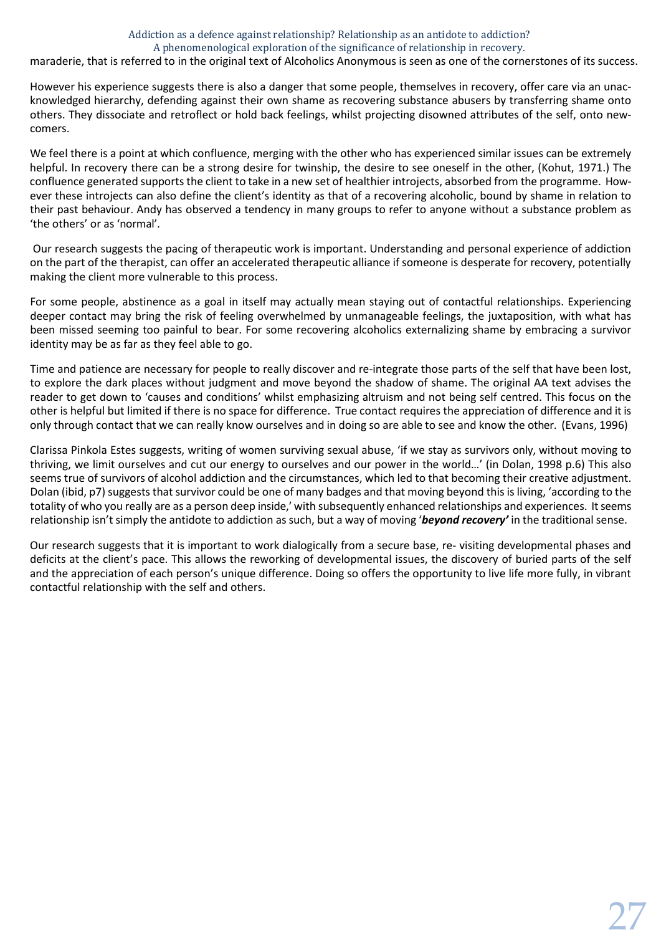maraderie, that is referred to in the original text of Alcoholics Anonymous is seen as one of the cornerstones of its success.

However his experience suggests there is also a danger that some people, themselves in recovery, offer care via an unacknowledged hierarchy, defending against their own shame as recovering substance abusers by transferring shame onto others. They dissociate and retroflect or hold back feelings, whilst projecting disowned attributes of the self, onto newcomers.

We feel there is a point at which confluence, merging with the other who has experienced similar issues can be extremely helpful. In recovery there can be a strong desire for twinship, the desire to see oneself in the other, (Kohut, 1971.) The confluence generated supports the client to take in a new set of healthier introjects, absorbed from the programme. However these introjects can also define the client's identity as that of a recovering alcoholic, bound by shame in relation to their past behaviour. Andy has observed a tendency in many groups to refer to anyone without a substance problem as 'the others' or as 'normal'.

Our research suggests the pacing of therapeutic work is important. Understanding and personal experience of addiction on the part of the therapist, can offer an accelerated therapeutic alliance if someone is desperate for recovery, potentially making the client more vulnerable to this process.

For some people, abstinence as a goal in itself may actually mean staying out of contactful relationships. Experiencing deeper contact may bring the risk of feeling overwhelmed by unmanageable feelings, the juxtaposition, with what has been missed seeming too painful to bear. For some recovering alcoholics externalizing shame by embracing a survivor identity may be as far as they feel able to go.

Time and patience are necessary for people to really discover and re-integrate those parts of the self that have been lost, to explore the dark places without judgment and move beyond the shadow of shame. The original AA text advises the reader to get down to 'causes and conditions' whilst emphasizing altruism and not being self centred. This focus on the other is helpful but limited if there is no space for difference. True contact requires the appreciation of difference and it is only through contact that we can really know ourselves and in doing so are able to see and know the other. (Evans, 1996)

Clarissa Pinkola Estes suggests, writing of women surviving sexual abuse, 'if we stay as survivors only, without moving to thriving, we limit ourselves and cut our energy to ourselves and our power in the world…' (in Dolan, 1998 p.6) This also seems true of survivors of alcohol addiction and the circumstances, which led to that becoming their creative adjustment. Dolan (ibid, p7) suggests that survivor could be one of many badges and that moving beyond this is living, 'according to the totality of who you really are as a person deep inside,' with subsequently enhanced relationships and experiences. It seems relationship isn't simply the antidote to addiction as such, but a way of moving '*beyond recovery'* in the traditional sense.

Our research suggests that it is important to work dialogically from a secure base, re- visiting developmental phases and deficits at the client's pace. This allows the reworking of developmental issues, the discovery of buried parts of the self and the appreciation of each person's unique difference. Doing so offers the opportunity to live life more fully, in vibrant contactful relationship with the self and others.